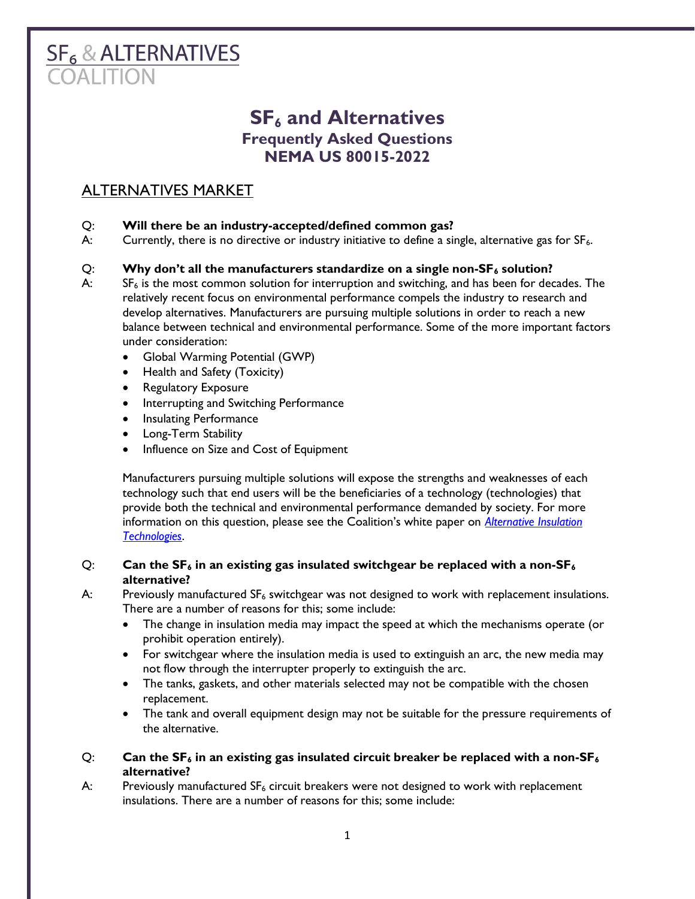# **SF<sub>6</sub> & ALTERNATIVES**

# $SF<sub>6</sub>$  and Alternatives Frequently Asked Questions NEMA US 80015-2022

# ALTERNATIVES MARKET

#### Q: Will there be an industry-accepted/defined common gas?

A: Currently, there is no directive or industry initiative to define a single, alternative gas for  $SF_6$ .

## $Q:$  Why don't all the manufacturers standardize on a single non- $SF<sub>6</sub>$  solution?

- $A$ :  $S$ F<sub>6</sub> is the most common solution for interruption and switching, and has been for decades. The relatively recent focus on environmental performance compels the industry to research and develop alternatives. Manufacturers are pursuing multiple solutions in order to reach a new balance between technical and environmental performance. Some of the more important factors under consideration:
	- Global Warming Potential (GWP)
	- Health and Safety (Toxicity)
	- Regulatory Exposure
	- Interrupting and Switching Performance
	- Insulating Performance
	- Long-Term Stability
	- Influence on Size and Cost of Equipment

Manufacturers pursuing multiple solutions will expose the strengths and weaknesses of each technology such that end users will be the beneficiaries of a technology (technologies) that provide both the technical and environmental performance demanded by society. For more information on this question, please see the Coalition's white paper on *Alternative Insulation* Technologies.

#### Q: Can the  $SF_6$  in an existing gas insulated switchgear be replaced with a non-SF<sub>6</sub> alternative?

A: Previously manufactured  $SF_6$  switchgear was not designed to work with replacement insulations. There are a number of reasons for this; some include:

- The change in insulation media may impact the speed at which the mechanisms operate (or prohibit operation entirely).
- For switchgear where the insulation media is used to extinguish an arc, the new media may not flow through the interrupter properly to extinguish the arc.
- The tanks, gaskets, and other materials selected may not be compatible with the chosen replacement.
- The tank and overall equipment design may not be suitable for the pressure requirements of the alternative.

#### Q: Can the  $SF_6$  in an existing gas insulated circuit breaker be replaced with a non- $SF_6$ alternative?

A: Previously manufactured SF<sub>6</sub> circuit breakers were not designed to work with replacement insulations. There are a number of reasons for this; some include: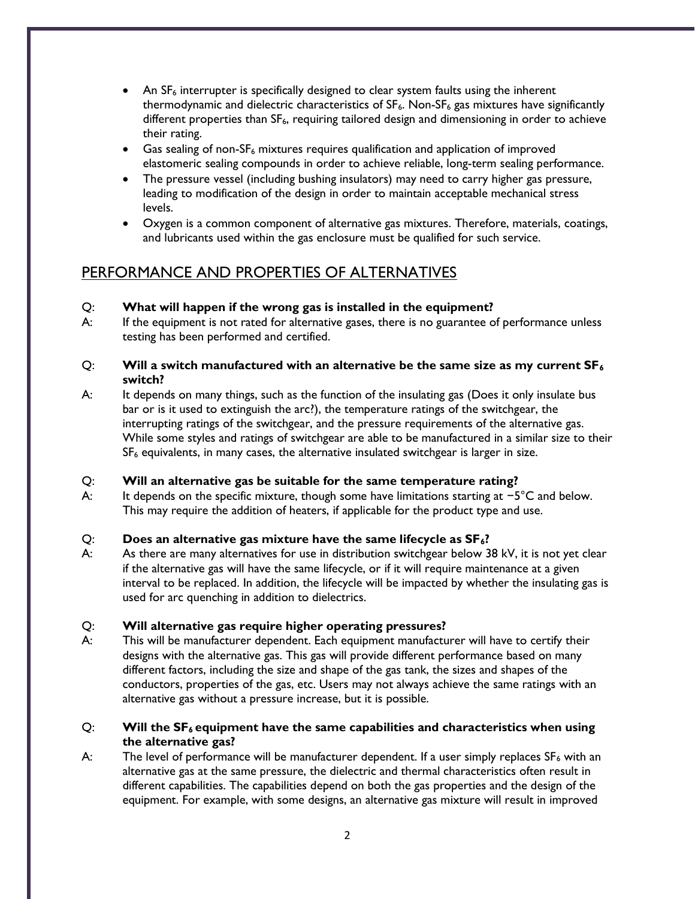- An  $SF<sub>6</sub>$  interrupter is specifically designed to clear system faults using the inherent thermodynamic and dielectric characteristics of  $SF_6$ . Non- $SF_6$  gas mixtures have significantly different properties than SF<sub>6</sub>, requiring tailored design and dimensioning in order to achieve their rating.
- Gas sealing of non-SF<sub>6</sub> mixtures requires qualification and application of improved elastomeric sealing compounds in order to achieve reliable, long-term sealing performance.
- The pressure vessel (including bushing insulators) may need to carry higher gas pressure, leading to modification of the design in order to maintain acceptable mechanical stress levels.
- Oxygen is a common component of alternative gas mixtures. Therefore, materials, coatings, and lubricants used within the gas enclosure must be qualified for such service.

# PERFORMANCE AND PROPERTIES OF ALTERNATIVES

#### Q: What will happen if the wrong gas is installed in the equipment?

A: If the equipment is not rated for alternative gases, there is no guarantee of performance unless testing has been performed and certified.

#### Q: Will a switch manufactured with an alternative be the same size as my current  $SF_6$ switch?

A: It depends on many things, such as the function of the insulating gas (Does it only insulate bus bar or is it used to extinguish the arc?), the temperature ratings of the switchgear, the interrupting ratings of the switchgear, and the pressure requirements of the alternative gas. While some styles and ratings of switchgear are able to be manufactured in a similar size to their  $SF<sub>6</sub>$  equivalents, in many cases, the alternative insulated switchgear is larger in size.

#### Q: Will an alternative gas be suitable for the same temperature rating?

A: It depends on the specific mixture, though some have limitations starting at −5°C and below. This may require the addition of heaters, if applicable for the product type and use.

## $Q$ : Does an alternative gas mixture have the same lifecycle as  $SF_6$ ?

A: As there are many alternatives for use in distribution switchgear below 38 kV, it is not yet clear if the alternative gas will have the same lifecycle, or if it will require maintenance at a given interval to be replaced. In addition, the lifecycle will be impacted by whether the insulating gas is used for arc quenching in addition to dielectrics.

#### Q: Will alternative gas require higher operating pressures?

A: This will be manufacturer dependent. Each equipment manufacturer will have to certify their designs with the alternative gas. This gas will provide different performance based on many different factors, including the size and shape of the gas tank, the sizes and shapes of the conductors, properties of the gas, etc. Users may not always achieve the same ratings with an alternative gas without a pressure increase, but it is possible.

#### $Q:$  Will the  $SF_6$  equipment have the same capabilities and characteristics when using the alternative gas?

A: The level of performance will be manufacturer dependent. If a user simply replaces  $SF_6$  with an alternative gas at the same pressure, the dielectric and thermal characteristics often result in different capabilities. The capabilities depend on both the gas properties and the design of the equipment. For example, with some designs, an alternative gas mixture will result in improved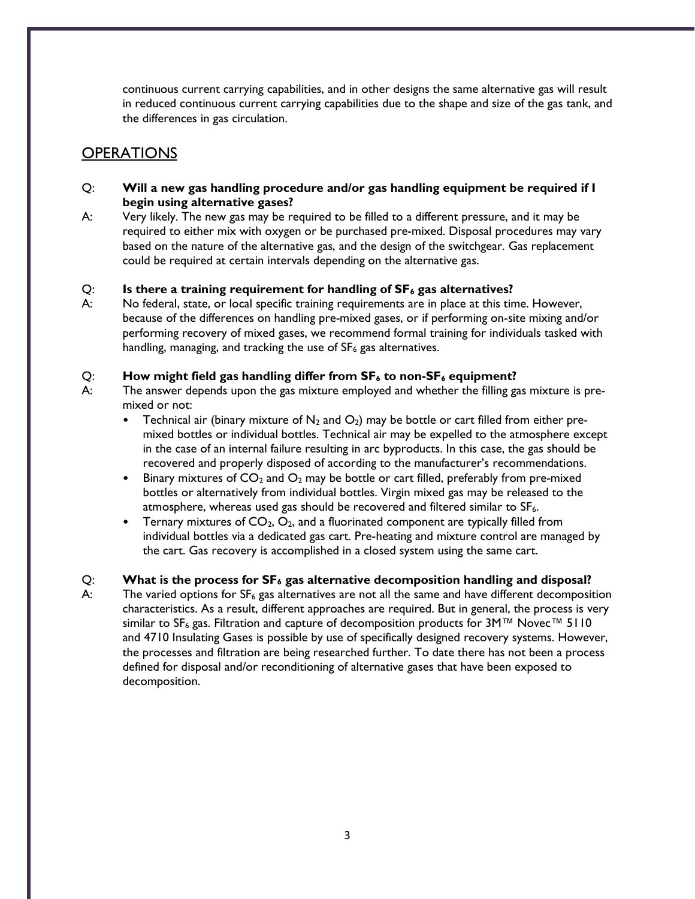continuous current carrying capabilities, and in other designs the same alternative gas will result in reduced continuous current carrying capabilities due to the shape and size of the gas tank, and the differences in gas circulation.

## **OPERATIONS**

- Q: Will a new gas handling procedure and/or gas handling equipment be required if I begin using alternative gases?
- A: Very likely. The new gas may be required to be filled to a different pressure, and it may be required to either mix with oxygen or be purchased pre-mixed. Disposal procedures may vary based on the nature of the alternative gas, and the design of the switchgear. Gas replacement could be required at certain intervals depending on the alternative gas.

#### Q: Is there a training requirement for handling of  $SF_6$  gas alternatives?

A: No federal, state, or local specific training requirements are in place at this time. However, because of the differences on handling pre-mixed gases, or if performing on-site mixing and/or performing recovery of mixed gases, we recommend formal training for individuals tasked with handling, managing, and tracking the use of  $SF<sub>6</sub>$  gas alternatives.

#### Q: How might field gas handling differ from  $SF_6$  to non- $SF_6$  equipment?

- A: The answer depends upon the gas mixture employed and whether the filling gas mixture is premixed or not:
	- Technical air (binary mixture of  $N_2$  and  $O_2$ ) may be bottle or cart filled from either premixed bottles or individual bottles. Technical air may be expelled to the atmosphere except in the case of an internal failure resulting in arc byproducts. In this case, the gas should be recovered and properly disposed of according to the manufacturer's recommendations.
	- Binary mixtures of  $CO<sub>2</sub>$  and  $O<sub>2</sub>$  may be bottle or cart filled, preferably from pre-mixed bottles or alternatively from individual bottles. Virgin mixed gas may be released to the atmosphere, whereas used gas should be recovered and filtered similar to  $SF<sub>6</sub>$ .
	- Ternary mixtures of  $CO<sub>2</sub>, O<sub>2</sub>$ , and a fluorinated component are typically filled from individual bottles via a dedicated gas cart. Pre-heating and mixture control are managed by the cart. Gas recovery is accomplished in a closed system using the same cart.

#### $Q:$  What is the process for  $SF_6$  gas alternative decomposition handling and disposal?

A: The varied options for  $SF_6$  gas alternatives are not all the same and have different decomposition characteristics. As a result, different approaches are required. But in general, the process is very similar to SF<sub>6</sub> gas. Filtration and capture of decomposition products for 3M™ Novec™ 5110 and 4710 Insulating Gases is possible by use of specifically designed recovery systems. However, the processes and filtration are being researched further. To date there has not been a process defined for disposal and/or reconditioning of alternative gases that have been exposed to decomposition.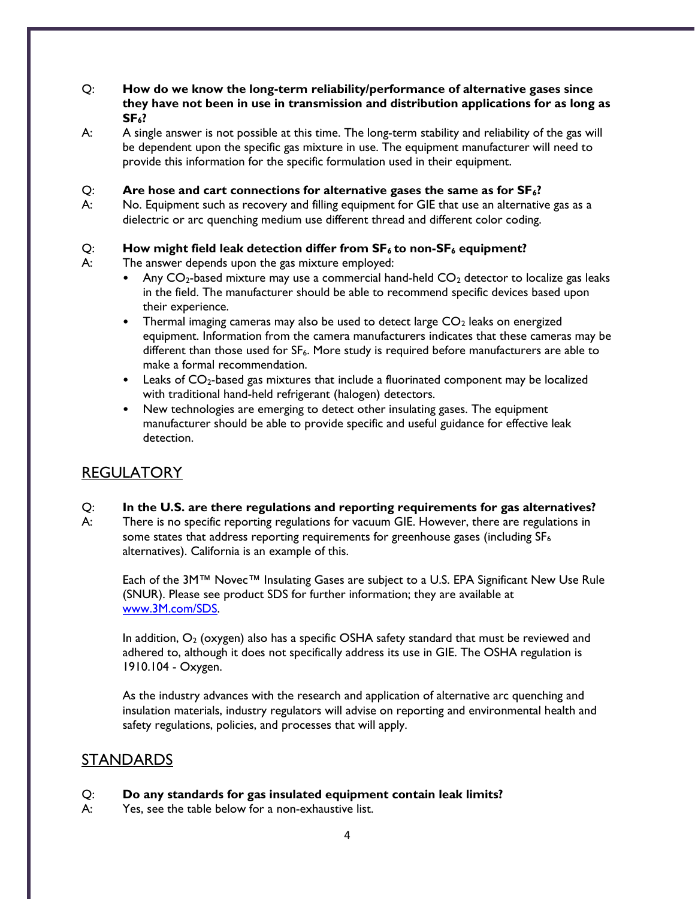#### Q: How do we know the long-term reliability/performance of alternative gases since they have not been in use in transmission and distribution applications for as long as  $SF<sub>6</sub>?$

A: A single answer is not possible at this time. The long-term stability and reliability of the gas will be dependent upon the specific gas mixture in use. The equipment manufacturer will need to provide this information for the specific formulation used in their equipment.

#### Q: Are hose and cart connections for alternative gases the same as for  $SF_6$ ?

A: No. Equipment such as recovery and filling equipment for GIE that use an alternative gas as a dielectric or arc quenching medium use different thread and different color coding.

#### Q: How might field leak detection differ from  $SF_6$  to non- $SF_6$  equipment?

A: The answer depends upon the gas mixture employed:

- Any  $CO<sub>2</sub>$ -based mixture may use a commercial hand-held  $CO<sub>2</sub>$  detector to localize gas leaks in the field. The manufacturer should be able to recommend specific devices based upon their experience.
- Thermal imaging cameras may also be used to detect large  $CO<sub>2</sub>$  leaks on energized equipment. Information from the camera manufacturers indicates that these cameras may be different than those used for  $SF<sub>6</sub>$ . More study is required before manufacturers are able to make a formal recommendation.
- Leaks of CO<sub>2</sub>-based gas mixtures that include a fluorinated component may be localized with traditional hand-held refrigerant (halogen) detectors.
- New technologies are emerging to detect other insulating gases. The equipment manufacturer should be able to provide specific and useful guidance for effective leak detection.

## REGULATORY

#### Q: In the U.S. are there regulations and reporting requirements for gas alternatives?

A: There is no specific reporting regulations for vacuum GIE. However, there are regulations in some states that address reporting requirements for greenhouse gases (including  $SF_6$ alternatives). California is an example of this.

Each of the 3M™ Novec™ Insulating Gases are subject to a U.S. EPA Significant New Use Rule (SNUR). Please see product SDS for further information; they are available at www.3M.com/SDS.

In addition,  $O_2$  (oxygen) also has a specific OSHA safety standard that must be reviewed and adhered to, although it does not specifically address its use in GIE. The OSHA regulation is 1910.104 - Oxygen.

As the industry advances with the research and application of alternative arc quenching and insulation materials, industry regulators will advise on reporting and environmental health and safety regulations, policies, and processes that will apply.

## STANDARDS

#### Q: Do any standards for gas insulated equipment contain leak limits?

A: Yes, see the table below for a non-exhaustive list.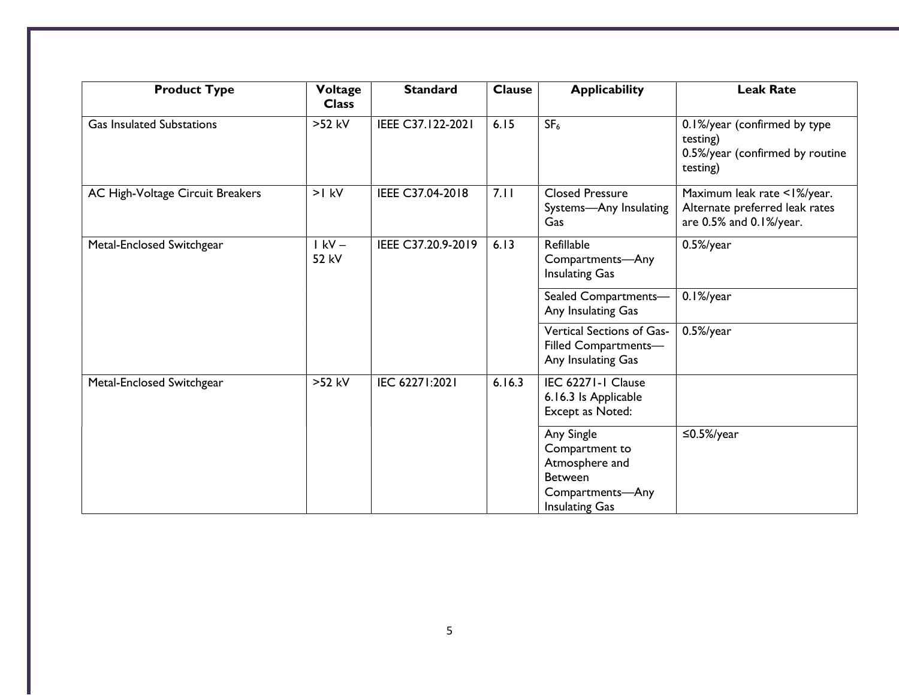| <b>Product Type</b>              | Voltage<br><b>Class</b> | <b>Standard</b>    | <b>Clause</b> | <b>Applicability</b>                                                                                          | <b>Leak Rate</b>                                                                         |
|----------------------------------|-------------------------|--------------------|---------------|---------------------------------------------------------------------------------------------------------------|------------------------------------------------------------------------------------------|
| <b>Gas Insulated Substations</b> | >52 kV                  | IEEE C37.122-2021  | 6.15          | SF <sub>6</sub>                                                                                               | 0.1%/year (confirmed by type<br>testing)<br>0.5%/year (confirmed by routine<br>testing)  |
| AC High-Voltage Circuit Breakers | $>1$ kV                 | IEEE C37.04-2018   | 7.11          | <b>Closed Pressure</b><br>Systems-Any Insulating<br>Gas                                                       | Maximum leak rate <1%/year.<br>Alternate preferred leak rates<br>are 0.5% and 0.1%/year. |
| Metal-Enclosed Switchgear        | $1$ kV $-$<br>52 kV     | IEEE C37.20.9-2019 | 6.13          | Refillable<br>Compartments-Any<br><b>Insulating Gas</b>                                                       | $0.5\%$ /year                                                                            |
|                                  |                         |                    |               | Sealed Compartments-<br>Any Insulating Gas                                                                    | $0.1\%$ /year                                                                            |
|                                  |                         |                    |               | Vertical Sections of Gas-<br>Filled Compartments-<br>Any Insulating Gas                                       | $0.5\%$ /year                                                                            |
| Metal-Enclosed Switchgear        | >52 kV                  | IEC 62271:2021     | 6.16.3        | IEC 62271-1 Clause<br>6.16.3 Is Applicable<br>Except as Noted:                                                |                                                                                          |
|                                  |                         |                    |               | Any Single<br>Compartment to<br>Atmosphere and<br><b>Between</b><br>Compartments-Any<br><b>Insulating Gas</b> | $\leq$ 0.5%/year                                                                         |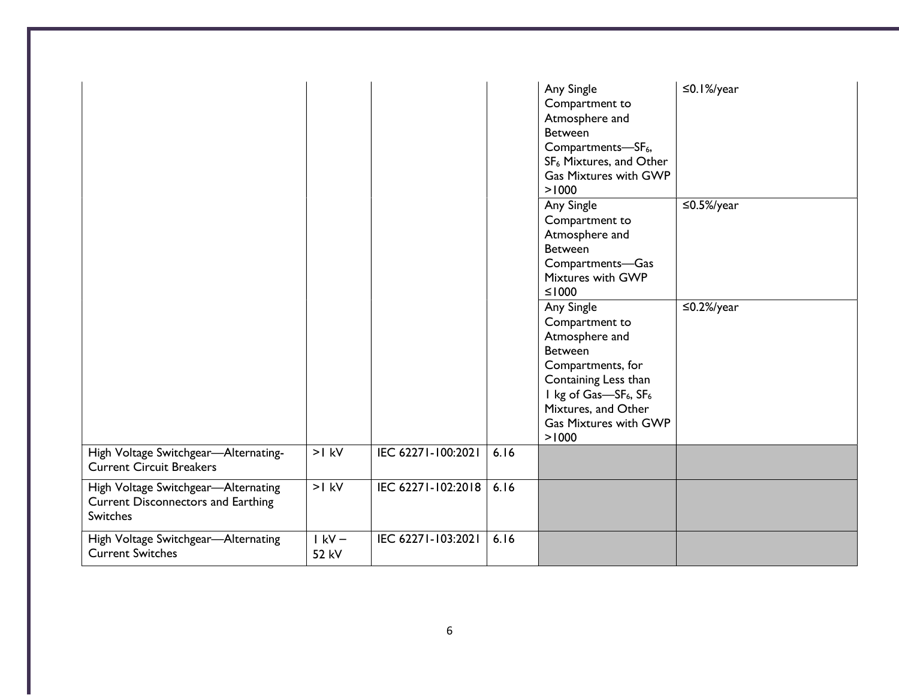|                                                                                                     |                     |                    |      | Any Single<br>Compartment to<br>Atmosphere and<br><b>Between</b><br>Compartments-SF <sub>6</sub> ,<br>SF <sub>6</sub> Mixtures, and Other<br><b>Gas Mixtures with GWP</b><br>>1000                                              | $\leq$ 0.1%/year |
|-----------------------------------------------------------------------------------------------------|---------------------|--------------------|------|---------------------------------------------------------------------------------------------------------------------------------------------------------------------------------------------------------------------------------|------------------|
|                                                                                                     |                     |                    |      | Any Single<br>Compartment to<br>Atmosphere and<br><b>Between</b><br>Compartments-Gas<br>Mixtures with GWP<br>$≤1000$                                                                                                            | $\leq$ 0.5%/year |
|                                                                                                     |                     |                    |      | Any Single<br>Compartment to<br>Atmosphere and<br><b>Between</b><br>Compartments, for<br>Containing Less than<br>I kg of Gas-SF <sub>6</sub> , SF <sub>6</sub><br>Mixtures, and Other<br><b>Gas Mixtures with GWP</b><br>> 1000 | $\leq$ 0.2%/year |
| High Voltage Switchgear-Alternating-<br><b>Current Circuit Breakers</b>                             | $>1$ kV             | IEC 62271-100:2021 | 6.16 |                                                                                                                                                                                                                                 |                  |
| High Voltage Switchgear-Alternating<br><b>Current Disconnectors and Earthing</b><br><b>Switches</b> | $>1$ kV             | IEC 62271-102:2018 | 6.16 |                                                                                                                                                                                                                                 |                  |
| High Voltage Switchgear-Alternating<br><b>Current Switches</b>                                      | $1$ kV $-$<br>52 kV | IEC 62271-103:2021 | 6.16 |                                                                                                                                                                                                                                 |                  |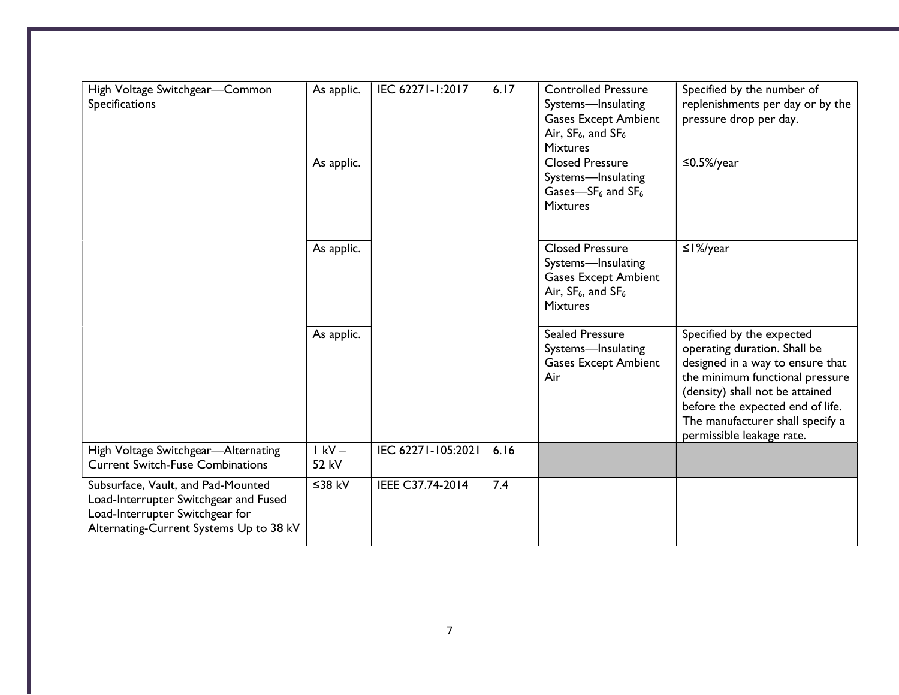| High Voltage Switchgear-Common<br>Specifications                                                                                                          | As applic.<br>As applic. | IEC 62271-1:2017   | 6.17 | <b>Controlled Pressure</b><br>Systems-lnsulating<br><b>Gases Except Ambient</b><br>Air, $SF_6$ , and $SF_6$<br><b>Mixtures</b><br><b>Closed Pressure</b><br>Systems-lnsulating | Specified by the number of<br>replenishments per day or by the<br>pressure drop per day.<br>$\leq$ 0.5%/year                                                                                                                                                             |
|-----------------------------------------------------------------------------------------------------------------------------------------------------------|--------------------------|--------------------|------|--------------------------------------------------------------------------------------------------------------------------------------------------------------------------------|--------------------------------------------------------------------------------------------------------------------------------------------------------------------------------------------------------------------------------------------------------------------------|
|                                                                                                                                                           |                          |                    |      | Gases- $SF6$ and $SF6$<br><b>Mixtures</b>                                                                                                                                      |                                                                                                                                                                                                                                                                          |
|                                                                                                                                                           | As applic.               |                    |      | <b>Closed Pressure</b><br>Systems-lnsulating<br><b>Gases Except Ambient</b><br>Air, $SF_6$ , and $SF_6$<br><b>Mixtures</b>                                                     | $\leq$  %/year                                                                                                                                                                                                                                                           |
|                                                                                                                                                           | As applic.               |                    |      | <b>Sealed Pressure</b><br>Systems-Insulating<br><b>Gases Except Ambient</b><br>Air                                                                                             | Specified by the expected<br>operating duration. Shall be<br>designed in a way to ensure that<br>the minimum functional pressure<br>(density) shall not be attained<br>before the expected end of life.<br>The manufacturer shall specify a<br>permissible leakage rate. |
| High Voltage Switchgear-Alternating<br><b>Current Switch-Fuse Combinations</b>                                                                            | $I$ kV –<br>52 kV        | IEC 62271-105:2021 | 6.16 |                                                                                                                                                                                |                                                                                                                                                                                                                                                                          |
| Subsurface, Vault, and Pad-Mounted<br>Load-Interrupter Switchgear and Fused<br>Load-Interrupter Switchgear for<br>Alternating-Current Systems Up to 38 kV | ≤38 kV                   | IEEE C37.74-2014   | 7.4  |                                                                                                                                                                                |                                                                                                                                                                                                                                                                          |